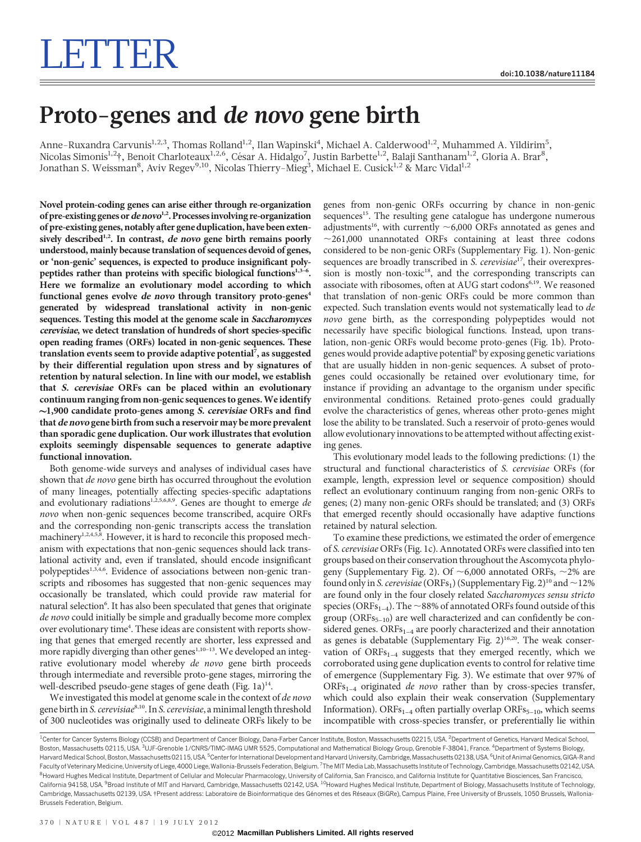## Proto-genes and de novo gene birth

Anne-Ruxandra Carvunis<sup>1,2,3</sup>, Thomas Rolland<sup>1,2</sup>, Ilan Wapinski<sup>4</sup>, Michael A. Calderwood<sup>1,2</sup>, Muhammed A. Yildirim<sup>5</sup>, Nicolas Simonis<sup>1,2</sup>†, Benoit Charloteaux<sup>1,2,6</sup>, César A. Hidalgo<sup>7</sup>, Justin Barbette<sup>1,2</sup>, Balaji Santhanam<sup>1,2</sup>, Gloria A. Brar<sup>8</sup>, Jonathan S. Weissman $^8$ , Aviv Regev $^{9,10}$ , Nicolas Thierry-M $\mathrm{ieg}^3$ , Michael E. Cusick $^{1,2}$  & Marc Vidal $^{1,2}$ 

Novel protein-coding genes can arise either through re-organization of pre-existing genes or de novo<sup>1,2</sup>. Processes involving re-organization of pre-existing genes, notably after gene duplication, have been extensively described<sup>1,2</sup>. In contrast, de novo gene birth remains poorly understood, mainly because translation of sequences devoid of genes, or 'non-genic' sequences, is expected to produce insignificant polypeptides rather than proteins with specific biological functions<sup>1,3-6</sup>. Here we formalize an evolutionary model according to which functional genes evolve de novo through transitory proto-genes<sup>4</sup> generated by widespread translational activity in non-genic sequences. Testing this model at the genome scale in Saccharomyces cerevisiae, we detect translation of hundreds of short species-specific open reading frames (ORFs) located in non-genic sequences. These translation events seem to provide adaptive potential<sup>7</sup>, as suggested by their differential regulation upon stress and by signatures of retention by natural selection. In line with our model, we establish that S. cerevisiae ORFs can be placed within an evolutionary continuum ranging from non-genic sequences to genes.We identify  $\sim$ 1,900 candidate proto-genes among *S. cerevisiae* ORFs and find that de novo gene birth from such a reservoir may be more prevalent than sporadic gene duplication. Our work illustrates that evolution exploits seemingly dispensable sequences to generate adaptive functional innovation.

Both genome-wide surveys and analyses of individual cases have shown that de novo gene birth has occurred throughout the evolution of many lineages, potentially affecting species-specific adaptations and evolutionary radiations<sup>1,2,5,6,8,9</sup>. Genes are thought to emerge de novo when non-genic sequences become transcribed, acquire ORFs and the corresponding non-genic transcripts access the translation machinery<sup>1,2,4,5,8</sup>. However, it is hard to reconcile this proposed mechanism with expectations that non-genic sequences should lack translational activity and, even if translated, should encode insignificant polypeptides<sup>1,3,4,6</sup>. Evidence of associations between non-genic transcripts and ribosomes has suggested that non-genic sequences may occasionally be translated, which could provide raw material for natural selection<sup>6</sup>. It has also been speculated that genes that originate de novo could initially be simple and gradually become more complex over evolutionary time<sup>4</sup>. These ideas are consistent with reports showing that genes that emerged recently are shorter, less expressed and more rapidly diverging than other genes<sup>1,10-13</sup>. We developed an integrative evolutionary model whereby de novo gene birth proceeds through intermediate and reversible proto-gene stages, mirroring the well-described pseudo-gene stages of gene death (Fig. 1a)<sup>14</sup>.

We investigated this model at genome scale in the context of de novo gene birth in S. cerevisiae<sup>8,10</sup>. In S. cerevisiae, a minimal length threshold of 300 nucleotides was originally used to delineate ORFs likely to be genes from non-genic ORFs occurring by chance in non-genic sequences<sup>15</sup>. The resulting gene catalogue has undergone numerous adjustments<sup>16</sup>, with currently  $\sim$  6,000 ORFs annotated as genes and  $\sim$ 261,000 unannotated ORFs containing at least three codons considered to be non-genic ORFs (Supplementary Fig. 1). Non-genic sequences are broadly transcribed in S. cerevisiae<sup>17</sup>, their overexpression is mostly non-toxic<sup>18</sup>, and the corresponding transcripts can associate with ribosomes, often at AUG start codons<sup>6,19</sup>. We reasoned that translation of non-genic ORFs could be more common than expected. Such translation events would not systematically lead to de novo gene birth, as the corresponding polypeptides would not necessarily have specific biological functions. Instead, upon translation, non-genic ORFs would become proto-genes (Fig. 1b). Protogenes would provide adaptive potential<sup>6</sup> by exposing genetic variations that are usually hidden in non-genic sequences. A subset of protogenes could occasionally be retained over evolutionary time, for instance if providing an advantage to the organism under specific environmental conditions. Retained proto-genes could gradually evolve the characteristics of genes, whereas other proto-genes might lose the ability to be translated. Such a reservoir of proto-genes would allow evolutionary innovations to be attempted without affecting existing genes.

This evolutionary model leads to the following predictions: (1) the structural and functional characteristics of S. cerevisiae ORFs (for example, length, expression level or sequence composition) should reflect an evolutionary continuum ranging from non-genic ORFs to genes; (2) many non-genic ORFs should be translated; and (3) ORFs that emerged recently should occasionally have adaptive functions retained by natural selection.

To examine these predictions, we estimated the order of emergence of S. cerevisiae ORFs (Fig. 1c). Annotated ORFs were classified into ten groups based on their conservation throughout the Ascomycota phylogeny (Supplementary Fig. 2). Of  $\sim$  6,000 annotated ORFs,  $\sim$  2% are found only in S. cerevisiae (ORFs<sub>1</sub>) (Supplementary Fig. 2)<sup>10</sup> and  $\sim$  12% are found only in the four closely related Saccharomyces sensu stricto species (ORFs<sub>1–4</sub>). The  $\sim$ 88% of annotated ORFs found outside of this group ( $ORFs_{5-10}$ ) are well characterized and can confidently be considered genes.  $ORFs_{1-4}$  are poorly characterized and their annotation as genes is debatable (Supplementary Fig. 2)<sup>16,20</sup>. The weak conservation of  $ORFs_{1-4}$  suggests that they emerged recently, which we corroborated using gene duplication events to control for relative time of emergence (Supplementary Fig. 3). We estimate that over 97% of  $ORFs_{1-4}$  originated *de novo* rather than by cross-species transfer, which could also explain their weak conservation (Supplementary Information). ORFs<sub>1–4</sub> often partially overlap ORFs<sub>5–10</sub>, which seems incompatible with cross-species transfer, or preferentially lie within

<sup>&</sup>lt;sup>1</sup>Center for Cancer Systems Biology (CCSB) and Department of Cancer Biology, Dana-Farber Cancer Institute, Boston, Massachusetts 02215, USA. <sup>2</sup>Department of Genetics, Harvard Medical School Boston, Massachusetts 02115, USA. <sup>3</sup>UJF-Grenoble 1/CNRS/TIMC-IMAG UMR 5525, Computational and Mathematical Biology Group, Grenoble F-38041, France. <sup>4</sup>Department of Systems Biology, Harvard Medical School, Boston, Massachusetts 02115, USA. <sup>5</sup>Center for International Development and Harvard University, Cambridge, Massachusetts 02138, USA. <sup>6</sup>Unit of Animal Genomics, GIGA-R anc Faculty of Veterinary Medicine, University of Liege, 4000 Liege, Wallonia-Brussels Federation, Belgium. <sup>7</sup>The MIT Media Lab, Massachusetts Institute of Technology, Cambridge, Massachusetts 02142, USA <sup>8</sup>Howard Hughes Medical Institute, Department of Cellular and Molecular Pharmacology, University of California, San Francisco, and California Institute for Quantitative Biosciences, San Francisco, California 94158, USA. <sup>9</sup>Broad Institute of MIT and Harvard, Cambridge, Massachusetts 02142, USA. <sup>10</sup>Howard Hughes Medical Institute, Department of Biology, Massachusetts Institute of Technology Cambridge, Massachusetts 02139, USA. †Present address: Laboratoire de Bioinformatique des Génomes et des Réseaux (BiGRe), Campus Plaine, Free University of Brussels, 1050 Brussels, Wallonia-Brussels Federation, Belgium.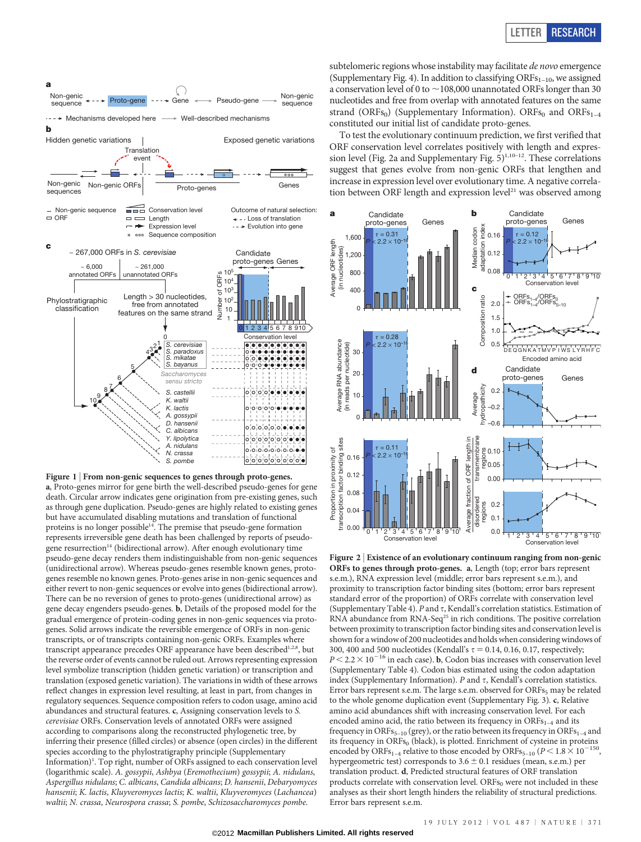

Figure 1 | From non-genic sequences to genes through proto-genes. a, Proto-genes mirror for gene birth the well-described pseudo-genes for gene death. Circular arrow indicates gene origination from pre-existing genes, such as through gene duplication. Pseudo-genes are highly related to existing genes but have accumulated disabling mutations and translation of functional proteins is no longer possible<sup>14</sup>. The premise that pseudo-gene formation represents irreversible gene death has been challenged by reports of pseudogene resurrection<sup>14</sup> (bidirectional arrow). After enough evolutionary time pseudo-gene decay renders them indistinguishable from non-genic sequences (unidirectional arrow). Whereas pseudo-genes resemble known genes, protogenes resemble no known genes. Proto-genes arise in non-genic sequences and either revert to non-genic sequences or evolve into genes (bidirectional arrow). There can be no reversion of genes to proto-genes (unidirectional arrow) as gene decay engenders pseudo-genes. b, Details of the proposed model for the gradual emergence of protein-coding genes in non-genic sequences via protogenes. Solid arrows indicate the reversible emergence of ORFs in non-genic transcripts, or of transcripts containing non-genic ORFs. Examples where transcript appearance precedes ORF appearance have been described $1,2,8$ , but the reverse order of events cannot be ruled out. Arrows representing expression level symbolize transcription (hidden genetic variation) or transcription and translation (exposed genetic variation). The variations in width of these arrows reflect changes in expression level resulting, at least in part, from changes in regulatory sequences. Sequence composition refers to codon usage, amino acid abundances and structural features. c, Assigning conservation levels to S. cerevisiae ORFs. Conservation levels of annotated ORFs were assigned according to comparisons along the reconstructed phylogenetic tree, by inferring their presence (filled circles) or absence (open circles) in the different species according to the phylostratigraphy principle (Supplementary Information)<sup>1</sup>. Top right, number of ORFs assigned to each conservation level (logarithmic scale). A. gossypii, Ashbya (Eremothecium) gossypii; A. nidulans, Aspergillus nidulans; C. albicans, Candida albicans; D. hansenii, Debaryomyces hansenii; K. lactis, Kluyveromyces lactis; K. waltii, Kluyveromyces (Lachancea) waltii; N. crassa, Neurospora crassa; S. pombe, Schizosaccharomyces pombe.

subtelomeric regions whose instability may facilitate de novo emergence (Supplementary Fig. 4). In addition to classifying  $\text{ORFs}_{1-10}$ , we assigned a conservation level of 0 to  $\sim$  108,000 unannotated ORFs longer than 30 nucleotides and free from overlap with annotated features on the same strand (ORFs<sub>0</sub>) (Supplementary Information). ORFs<sub>0</sub> and ORFs<sub>1-4</sub> constituted our initial list of candidate proto-genes.

To test the evolutionary continuum prediction, we first verified that ORF conservation level correlates positively with length and expression level (Fig. 2a and Supplementary Fig.  $5)^{1,10-12}$ . These correlations suggest that genes evolve from non-genic ORFs that lengthen and increase in expression level over evolutionary time. A negative correla-The proto-genes and the correlation between ORF length and expression level<sup>21</sup> was observed among Proto-genes Genes Genes Genes Genes (Genes Genes Genes Genes Genes Genes Genes Genes Genes Genes Genes Genes Genes Genes Ge



Figure 2 <sup>|</sup> Existence of an evolutionary continuum ranging from non-genic ORFs to genes through proto-genes. a, Length (top; error bars represent s.e.m.), RNA expression level (middle; error bars represent s.e.m.), and proximity to transcription factor binding sites (bottom; error bars represent standard error of the proportion) of ORFs correlate with conservation level (Supplementary Table 4). P and  $\tau$ , Kendall's correlation statistics. Estimation of RNA abundance from RNA-Seq<sup>25</sup> in rich conditions. The positive correlation between proximity to transcription factor binding sites and conservation level is shown for a window of 200 nucleotides and holds when considering windows of 300, 400 and 500 nucleotides (Kendall's  $\tau$  = 0.14, 0.16, 0.17, respectively;  $P\,{<}\,2.2\,{\times}\,10^{-16}$  in each case). <br>  $\bf{b},$  Codon bias increases with conservation level (Supplementary Table 4). Codon bias estimated using the codon adaptation index (Supplementary Information).  $P$  and  $\tau$ , Kendall's correlation statistics. Error bars represent s.e.m. The large s.e.m. observed for ORFs<sub>5</sub> may be related to the whole genome duplication event (Supplementary Fig. 3). c, Relative amino acid abundances shift with increasing conservation level. For each encoded amino acid, the ratio between its frequency in  $ORFs_{1-4}$  and its frequency in ORFs<sub>5–10</sub> (grey), or the ratio between its frequency in ORFs<sub>1–4</sub> and its frequency in ORFs $_0$  (black), is plotted. Enrichment of cysteine in proteins encoded by ORFs<sub>1–4</sub> relative to those encoded by ORFs<sub>5–10</sub> ( $P < 1.8 \times 10^{-150}$ , hypergeometric test) corresponds to  $3.6 \pm 0.1$  residues (mean, s.e.m.) per translation product. d, Predicted structural features of ORF translation products correlate with conservation level.  $\text{ORFs}_0$  were not included in these analyses as their short length hinders the reliability of structural predictions. Error bars represent s.e.m.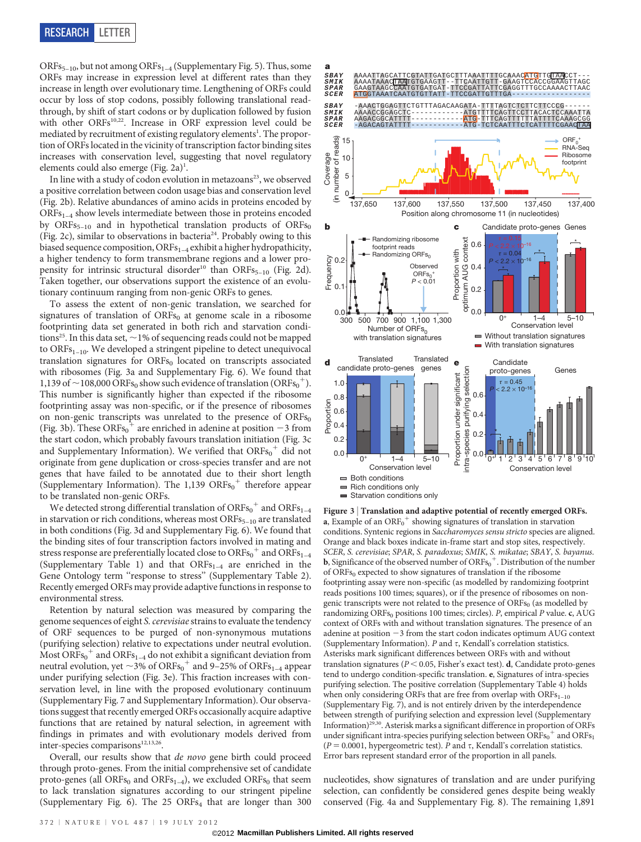ORFs<sub>5–10</sub>, but not among ORFs<sub>1–4</sub> (Supplementary Fig. 5). Thus, some ORFs may increase in expression level at different rates than they increase in length over evolutionary time. Lengthening of ORFs could occur by loss of stop codons, possibly following translational readthrough, by shift of start codons or by duplication followed by fusion with other ORFs<sup>10,22</sup>. Increase in ORF expression level could be mediated by recruitment of existing regulatory elements<sup>1</sup>. The proportion of ORFs located in the vicinity of transcription factor binding sites increases with conservation level, suggesting that novel regulatory elements could also emerge (Fig. 2a)<sup>1</sup>.

In line with a study of codon evolution in metazoans<sup>23</sup>, we observed a positive correlation between codon usage bias and conservation level (Fig. 2b). Relative abundances of amino acids in proteins encoded by ORFs<sub>1-4</sub> show levels intermediate between those in proteins encoded by ORFs<sub>5-10</sub> and in hypothetical translation products of ORFs<sub>0</sub> (Fig. 2c), similar to observations in bacteria<sup>24</sup>. Probably owing to this biased sequence composition, ORFs<sub>1-4</sub> exhibit a higher hydropathicity, a higher tendency to form transmembrane regions and a lower propensity for intrinsic structural disorder<sup>10</sup> than ORFs<sub>5-10</sub> (Fig. 2d). Taken together, our observations support the existence of an evolutionary continuum ranging from non-genic ORFs to genes.

To assess the extent of non-genic translation, we searched for signatures of translation of  $ORFs_0$  at genome scale in a ribosome footprinting data set generated in both rich and starvation conditions<sup>25</sup>. In this data set,  $\sim$  1% of sequencing reads could not be mapped to ORFs<sub>1-10</sub>. We developed a stringent pipeline to detect unequivocal translation signatures for ORFs<sub>0</sub> located on transcripts associated with ribosomes (Fig. 3a and Supplementary Fig. 6). We found that 1,139 of  $\sim$  108,000 ORFs<sub>0</sub> show such evidence of translation (ORFs<sub>0</sub><sup>+</sup>). This number is significantly higher than expected if the ribosome footprinting assay was non-specific, or if the presence of ribosomes on non-genic transcripts was unrelated to the presence of  $ORFs<sub>0</sub>$ (Fig. 3b). These ORFs<sub>0</sub><sup>+</sup> are enriched in adenine at position -3 from the start codon, which probably favours translation initiation (Fig. 3c and Supplementary Information). We verified that  $\mathrm{ORFs}_{0}^{+}$  did not originate from gene duplication or cross-species transfer and are not genes that have failed to be annotated due to their short length (Supplementary Information). The  $1,139$  ORFs<sub>0</sub><sup>+</sup> therefore appear to be translated non-genic ORFs.

We detected strong differential translation of  $\mathrm{ORFs}_{0}^{+}$  and  $\mathrm{ORFs}_{1-4}$ in starvation or rich conditions, whereas most  $ORFs_{5-10}$  are translated in both conditions (Fig. 3d and Supplementary Fig. 6). We found that the binding sites of four transcription factors involved in mating and stress response are preferentially located close to ORFs $_{\rm 0}^{+}$  and ORFs $_{\rm 1-4}$ (Supplementary Table 1) and that  $ORFs_{1-4}$  are enriched in the Gene Ontology term "response to stress" (Supplementary Table 2). Recently emerged ORFs may provide adaptive functions in response to environmental stress.

Retention by natural selection was measured by comparing the genome sequences of eight S. cerevisiae strains to evaluate the tendency of ORF sequences to be purged of non-synonymous mutations (purifying selection) relative to expectations under neutral evolution. Most  $\overline{ORFs_0}^+$  and  $\overline{ORFs_{1-4}}$  do not exhibit a significant deviation from neutral evolution, yet  $\sim$ 3% of ORFs<sub>0</sub><sup>+</sup> and 9–25% of ORFs<sub>1–4</sub> appear under purifying selection (Fig. 3e). This fraction increases with conservation level, in line with the proposed evolutionary continuum (Supplementary Fig. 7 and Supplementary Information). Our observations suggest that recently emerged ORFs occasionally acquire adaptive functions that are retained by natural selection, in agreement with findings in primates and with evolutionary models derived from inter-species comparisons<sup>12,13,26</sup>.

Overall, our results show that de novo gene birth could proceed through proto-genes. From the initial comprehensive set of candidate proto-genes (all ORFs<sub>0</sub> and ORFs<sub>1–4</sub>), we excluded ORFs<sub>0</sub> that seem to lack translation signatures according to our stringent pipeline (Supplementary Fig. 6). The  $25$  ORFs<sub>4</sub> that are longer than  $300$ 



Figure 3 <sup>|</sup> Translation and adaptive potential of recently emerged ORFs. **a**, Example of an  $\text{ORF}_0^+$  showing signatures of translation in starvation conditions. Syntenic regions in Saccharomyces sensu stricto species are aligned. Orange and black boxes indicate in-frame start and stop sites, respectively. SCER, S. cerevisiae; SPAR, S. paradoxus; SMIK, S. mikatae; SBAY, S. bayanus. **b**, Significance of the observed number of  $\mathrm{ORFs}_0^+$ . Distribution of the number of ORFs $_0$  expected to show signatures of translation if the ribosome footprinting assay were non-specific (as modelled by randomizing footprint reads positions 100 times; squares), or if the presence of ribosomes on nongenic transcripts were not related to the presence of  $\text{ORFs}_0$  (as modelled by randomizing ORFs<sub>0</sub> positions 100 times; circles). P, empirical P value. c, AUG context of ORFs with and without translation signatures. The presence of an adenine at position  $-3$  from the start codon indicates optimum AUG context (Supplementary Information). P and  $\tau$ , Kendall's correlation statistics. Asterisks mark significant differences between ORFs with and without translation signatures ( $P < 0.05$ , Fisher's exact test). d, Candidate proto-genes tend to undergo condition-specific translation. e, Signatures of intra-species purifying selection. The positive correlation (Supplementary Table 4) holds when only considering ORFs that are free from overlap with  $ORFs<sub>1-10</sub>$ (Supplementary Fig. 7), and is not entirely driven by the interdependence between strength of purifying selection and expression level (Supplementary Information)29,30. Asterisk marks a significant difference in proportion of ORFs under significant intra-species purifying selection between  $\overline{\text{ORFs}}_0^+$  and  $\overline{\text{ORFs}}_1$  $(P = 0.0001$ , hypergeometric test). P and  $\tau$ , Kendall's correlation statistics. Error bars represent standard error of the proportion in all panels.

nucleotides, show signatures of translation and are under purifying selection, can confidently be considered genes despite being weakly conserved (Fig. 4a and Supplementary Fig. 8). The remaining 1,891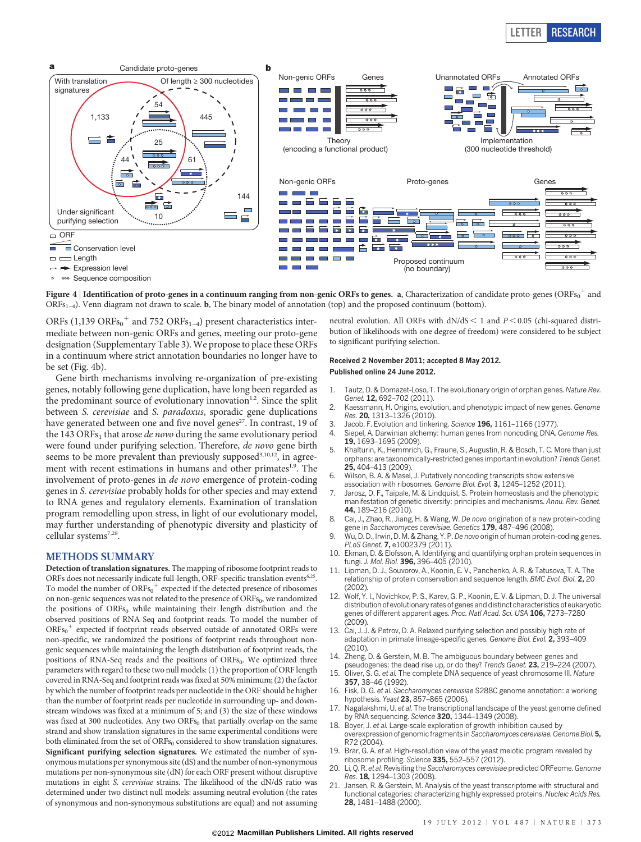## LETTER RESEARCH



Figure 4  $|$  Identification of proto-genes in a continuum ranging from non-genic ORFs to genes. a, Characterization of candidate proto-genes (ORFs $^{\rm o+}$  and  $ORFs_{1-4}$ ). Venn diagram not drawn to scale. **b**, The binary model of annotation (top) and the proposed continuum (bottom).

ORFs (1,139 ORFs $_0^+$  and 752 ORFs<sub>1-4</sub>) present characteristics intermediate between non-genic ORFs and genes, meeting our proto-gene designation (Supplementary Table 3). We propose to place these ORFs in a continuum where strict annotation boundaries no longer have to be set (Fig. 4b).

Gene birth mechanisms involving re-organization of pre-existing genes, notably following gene duplication, have long been regarded as the predominant source of evolutionary innovation $1,2$ . Since the split between S. cerevisiae and S. paradoxus, sporadic gene duplications have generated between one and five novel genes<sup>27</sup>. In contrast, 19 of the 143 ORFs<sub>1</sub> that arose *de novo* during the same evolutionary period were found under purifying selection. Therefore, de novo gene birth seems to be more prevalent than previously supposed<sup>3,10,12</sup>, in agreement with recent estimations in humans and other primates<sup>1,9</sup>. The involvement of proto-genes in de novo emergence of protein-coding genes in S. cerevisiae probably holds for other species and may extend to RNA genes and regulatory elements. Examination of translation program remodelling upon stress, in light of our evolutionary model, may further understanding of phenotypic diversity and plasticity of cellular systems<sup>7,28</sup>.

## METHODS SUMMARY

Detection of translation signatures. The mapping of ribosome footprint reads to ORFs does not necessarily indicate full-length, ORF-specific translation events<sup>6,25</sup>. To model the number of  $\overline{{\rm ORFs}_0}^+$  expected if the detected presence of ribosomes on non-genic sequences was not related to the presence of  $\mathrm{ORFs}_{0}$ , we randomized the positions of  $ORFs<sub>0</sub>$  while maintaining their length distribution and the observed positions of RNA-Seq and footprint reads. To model the number of  $ORFs_0$ <sup>+</sup> expected if footprint reads observed outside of annotated ORFs were non-specific, we randomized the positions of footprint reads throughout nongenic sequences while maintaining the length distribution of footprint reads, the positions of RNA-Seq reads and the positions of  $ORFs<sub>0</sub>$ . We optimized three parameters with regard to these two null models: (1) the proportion of ORF length covered in RNA-Seq and footprint reads was fixed at 50% minimum; (2) the factor by which the number of footprint reads per nucleotide in the ORF should be higher than the number of footprint reads per nucleotide in surrounding up- and downstream windows was fixed at a minimum of 5; and (3) the size of these windows was fixed at 300 nucleotides. Any two  $ORFs<sub>0</sub>$  that partially overlap on the same strand and show translation signatures in the same experimental conditions were both eliminated from the set of  $\mathrm{ORFs}_0$  considered to show translation signatures. Significant purifying selection signatures. We estimated the number of synonymous mutations per synonymous site (dS) and the number of non-synonymous mutations per non-synonymous site (dN) for each ORF present without disruptive mutations in eight S. cerevisiae strains. The likelihood of the dN/dS ratio was determined under two distinct null models: assuming neutral evolution (the rates of synonymous and non-synonymous substitutions are equal) and not assuming

neutral evolution. All ORFs with  $dN/dS < 1$  and  $P < 0.05$  (chi-squared distribution of likelihoods with one degree of freedom) were considered to be subject to significant purifying selection.

## Received 2 November 2011; accepted 8 May 2012. Published online 24 June 2012.

- 1. Tautz, D. & Domazet-Loso, T. The evolutionary origin of orphan genes. Nature Rev. Genet. 12, 692-702 (2011).
- Kaessmann, H. Origins, evolution, and phenotypic impact of new genes. Genome Res. 20, 1313–1326 (2010).
- Jacob, F. Evolution and tinkering. Science 196, 1161–1166 (1977).
- 4. Siepel, A. Darwinian alchemy: human genes from noncoding DNA. Genome Res. 19, 1693–1695 (2009).
- 5. Khalturin, K., Hemmrich, G., Fraune, S., Augustin, R. & Bosch, T. C. More than just orphans: are taxonomically-restricted genes important in evolution? Trends Genet. 25, 404–413 (2009).
- Wilson, B. A. & Masel, J. Putatively noncoding transcripts show extensive association with ribosomes. Genome Biol. Evol. 3, 1245-1252 (2011).
- Jarosz, D. F., Taipale, M. & Lindquist, S. Protein homeostasis and the phenotypic manifestation of genetic diversity: principles and mechanisms. Annu. Rev. Genet. 44, 189–216 (2010).
- Cai, J., Zhao, R., Jiang, H. & Wang, W. De novo origination of a new protein-coding gene in Saccharomyces cerevisiae. Genetics 179, 487-496 (2008).
- Wu, D. D., Irwin, D. M. & Zhang, Y. P. De novo origin of human protein-coding genes. PLoS Genet. 7, e1002379 (2011).
- 10. Ekman, D. & Elofsson, A. Identifying and quantifying orphan protein sequences in fungi. J. Mol. Biol. 396, 396–405 (2010).
- 11. Lipman, D. J., Souvorov, A., Koonin, E. V., Panchenko, A. R. & Tatusova, T. A. The relationship of protein conservation and sequence length. BMC Evol. Biol. 2, 20  $(2002)$
- 12. Wolf, Y. I., Novichkov, P. S., Karev, G. P., Koonin, E. V. & Lipman, D. J. The universal distribution of evolutionary rates of genes and distinct characteristics of eukaryotic genes of different apparent ages. Proc. Natl Acad. Sci. USA 106, 7273–7280  $(2009)$
- 13. Cai, J. J. & Petrov, D. A. Relaxed purifying selection and possibly high rate of adaptation in primate lineage-specific genes. Genome Biol. Evol. 2, 393–409  $(2010)$
- 14. Zheng, D. & Gerstein, M. B. The ambiguous boundary between genes and pseudogenes: the dead rise up, or do they? Trends Genet. 23, 219–224 (2007).
- 15. Oliver, S. G. et al. The complete DNA sequence of yeast chromosome III. Nature 357, 38–46 (1992).
- 16. Fisk, D. G. et al. Saccharomyces cerevisiae S288C genome annotation: a working hypothesis. Yeast 23, 857-865 (2006).
- 17. Nagalakshmi, U. et al. The transcriptional landscape of the yeast genome defined by RNA sequencing. Science 320, 1344–1349 (2008).
- 18. Boyer, J. et al. Large-scale exploration of growth inhibition caused by overexpression of genomic fragments in Saccharomyces cerevisiae. Genome Biol. 5, R72 (2004).
- 19. Brar, G. A. et al. High-resolution view of the yeast meiotic program revealed by ribosome profiling. Science 335, 552–557 (2012).
- 20. Li, Q. R. et al. Revisiting the Saccharomyces cerevisiae predicted ORFeome. Genome Res. 18, 1294–1303 (2008).
- 21. Jansen, R. & Gerstein, M. Analysis of the yeast transcriptome with structural and functional categories: characterizing highly expressed proteins. Nucleic Acids Res. 28, 1481–1488 (2000).